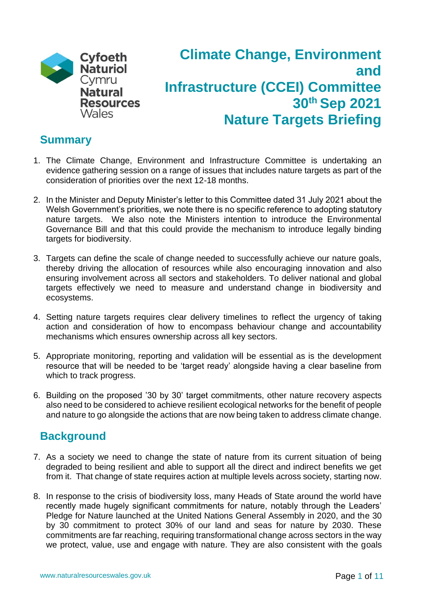

# **Climate Change, Environment and Infrastructure (CCEI) Committee 30th Sep 2021 Nature Targets Briefing**

### **Summary**

- 1. The Climate Change, Environment and Infrastructure Committee is undertaking an evidence gathering session on a range of issues that includes nature targets as part of the consideration of priorities over the next 12-18 months.
- 2. In the Minister and Deputy Minister's letter to this Committee dated 31 July 2021 about the Welsh Government's priorities, we note there is no specific reference to adopting statutory nature targets. We also note the Ministers intention to introduce the Environmental Governance Bill and that this could provide the mechanism to introduce legally binding targets for biodiversity.
- 3. Targets can define the scale of change needed to successfully achieve our nature goals, thereby driving the allocation of resources while also encouraging innovation and also ensuring involvement across all sectors and stakeholders. To deliver national and global targets effectively we need to measure and understand change in biodiversity and ecosystems.
- 4. Setting nature targets requires clear delivery timelines to reflect the urgency of taking action and consideration of how to encompass behaviour change and accountability mechanisms which ensures ownership across all key sectors.
- 5. Appropriate monitoring, reporting and validation will be essential as is the development resource that will be needed to be 'target ready' alongside having a clear baseline from which to track progress.
- 6. Building on the proposed '30 by 30' target commitments, other nature recovery aspects also need to be considered to achieve resilient ecological networks for the benefit of people and nature to go alongside the actions that are now being taken to address climate change.

### **Background**

- 7. As a society we need to change the state of nature from its current situation of being degraded to being resilient and able to support all the direct and indirect benefits we get from it. That change of state requires action at multiple levels across society, starting now.
- 8. In response to the crisis of biodiversity loss, many Heads of State around the world have recently made hugely significant commitments for nature, notably through the Leaders' Pledge for Nature launched at the United Nations General Assembly in 2020, and the 30 by 30 commitment to protect 30% of our land and seas for nature by 2030. These commitments are far reaching, requiring transformational change across sectors in the way we protect, value, use and engage with nature. They are also consistent with the goals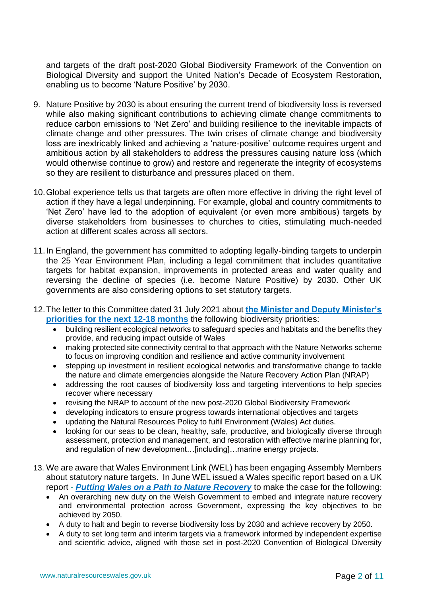and targets of the draft post-2020 Global Biodiversity Framework of the Convention on Biological Diversity and support the United Nation's Decade of Ecosystem Restoration, enabling us to become 'Nature Positive' by 2030.

- 9. Nature Positive by 2030 is about ensuring the current trend of biodiversity loss is reversed while also making significant contributions to achieving climate change commitments to reduce carbon emissions to 'Net Zero' and building resilience to the inevitable impacts of climate change and other pressures. The twin crises of climate change and biodiversity loss are inextricably linked and achieving a 'nature-positive' outcome requires urgent and ambitious action by all stakeholders to address the pressures causing nature loss (which would otherwise continue to grow) and restore and regenerate the integrity of ecosystems so they are resilient to disturbance and pressures placed on them.
- 10.Global experience tells us that targets are often more effective in driving the right level of action if they have a legal underpinning. For example, global and country commitments to 'Net Zero' have led to the adoption of equivalent (or even more ambitious) targets by diverse stakeholders from businesses to churches to cities, stimulating much-needed action at different scales across all sectors.
- 11.In England, the government has committed to adopting legally-binding targets to underpin the 25 Year Environment Plan, including a legal commitment that includes quantitative targets for habitat expansion, improvements in protected areas and water quality and reversing the decline of species (i.e. become Nature Positive) by 2030. Other UK governments are also considering options to set statutory targets.
- 12.The letter to this Committee dated 31 July 2021 about **[the Minister and Deputy Minister's](https://business.senedd.wales/documents/s116925/Letter%20from%20the%20Minister%20and%20Deputy%20Minister%20for%20Climate%20Change%20on%20the%20Welsh%20Governments%20priorities.pdf)  [priorities for the next 12-18 months](https://business.senedd.wales/documents/s116925/Letter%20from%20the%20Minister%20and%20Deputy%20Minister%20for%20Climate%20Change%20on%20the%20Welsh%20Governments%20priorities.pdf)** the following biodiversity priorities:
	- building resilient ecological networks to safeguard species and habitats and the benefits they provide, and reducing impact outside of Wales
	- making protected site connectivity central to that approach with the Nature Networks scheme to focus on improving condition and resilience and active community involvement
	- stepping up investment in resilient ecological networks and transformative change to tackle the nature and climate emergencies alongside the Nature Recovery Action Plan (NRAP)
	- addressing the root causes of biodiversity loss and targeting interventions to help species recover where necessary
	- revising the NRAP to account of the new post-2020 Global Biodiversity Framework
	- developing indicators to ensure progress towards international objectives and targets
	- updating the Natural Resources Policy to fulfil Environment (Wales) Act duties.
	- looking for our seas to be clean, healthy, safe, productive, and biologically diverse through assessment, protection and management, and restoration with effective marine planning for, and regulation of new development…[including]…marine energy projects.
- 13. We are aware that Wales Environment Link (WEL) has been engaging Assembly Members about statutory nature targets. In June WEL issued a Wales specific report based on a UK report - *[Putting Wales on a Path to Nature Recovery](https://waleslink.org/wp-content/uploads/2021/06/Report_-Nature-Recovery-June-2021.pdf)* to make the case for the following:
	- An overarching new duty on the Welsh Government to embed and integrate nature recovery and environmental protection across Government, expressing the key objectives to be achieved by 2050.
	- A duty to halt and begin to reverse biodiversity loss by 2030 and achieve recovery by 2050.
	- A duty to set long term and interim targets via a framework informed by independent expertise and scientific advice, aligned with those set in post-2020 Convention of Biological Diversity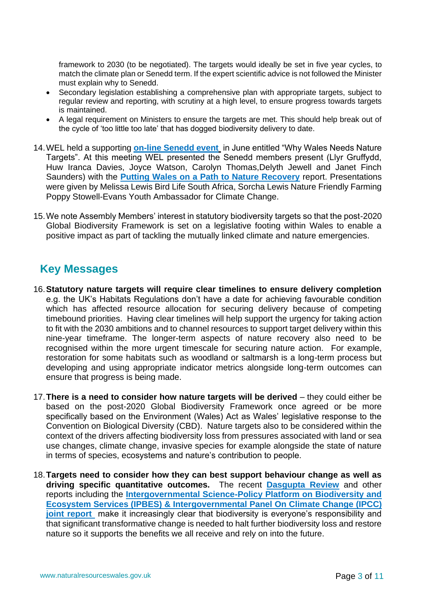framework to 2030 (to be negotiated). The targets would ideally be set in five year cycles, to match the climate plan or Senedd term. If the expert scientific advice is not followed the Minister must explain why to Senedd.

- Secondary legislation establishing a comprehensive plan with appropriate targets, subject to regular review and reporting, with scrutiny at a high level, to ensure progress towards targets is maintained.
- A legal requirement on Ministers to ensure the targets are met. This should help break out of the cycle of 'too little too late' that has dogged biodiversity delivery to date.
- 14.WEL held a supporting **[on-line Senedd event](https://www.youtube.com/watch?v=hyjerIAJd1Y)** in June entitled "Why Wales Needs Nature Targets". At this meeting WEL presented the Senedd members present (Llyr Gruffydd, Huw Iranca Davies, Joyce Watson, Carolyn Thomas,Delyth Jewell and Janet Finch Saunders) with the **[Putting Wales on a Path to Nature Recovery](https://waleslink.org/wp-content/uploads/2021/06/Report_-Nature-Recovery-June-2021.pdf)** report. Presentations were given by Melissa Lewis Bird Life South Africa, Sorcha Lewis Nature Friendly Farming Poppy Stowell-Evans Youth Ambassador for Climate Change.
- 15.We note Assembly Members' interest in statutory biodiversity targets so that the post-2020 Global Biodiversity Framework is set on a legislative footing within Wales to enable a positive impact as part of tackling the mutually linked climate and nature emergencies.

## **Key Messages**

- 16.**Statutory nature targets will require clear timelines to ensure delivery completion** e.g. the UK's Habitats Regulations don't have a date for achieving favourable condition which has affected resource allocation for securing delivery because of competing timebound priorities. Having clear timelines will help support the urgency for taking action to fit with the 2030 ambitions and to channel resources to support target delivery within this nine-year timeframe. The longer-term aspects of nature recovery also need to be recognised within the more urgent timescale for securing nature action. For example, restoration for some habitats such as woodland or saltmarsh is a long-term process but developing and using appropriate indicator metrics alongside long-term outcomes can ensure that progress is being made.
- 17.**There is a need to consider how nature targets will be derived** they could either be based on the post-2020 Global Biodiversity Framework once agreed or be more specifically based on the Environment (Wales) Act as Wales' legislative response to the Convention on Biological Diversity (CBD). Nature targets also to be considered within the context of the drivers affecting biodiversity loss from pressures associated with land or sea use changes, climate change, invasive species for example alongside the state of nature in terms of species, ecosystems and nature's contribution to people.
- 18.**Targets need to consider how they can best support behaviour change as well as driving specific quantitative outcomes.** The recent **[Dasgupta Review](https://www.gov.uk/government/publications/final-report-the-economics-of-biodiversity-the-dasgupta-review)** and other reports including the **[Intergovernmental Science-Policy Platform on Biodiversity and](https://www.ipbes.net/events/launch-ipbes-ipcc-co-sponsored-workshop-report-biodiversity-and-climate-change)  [Ecosystem Services \(IPBES\) & Intergovernmental Panel On Climate Change \(IPCC\)](https://www.ipbes.net/events/launch-ipbes-ipcc-co-sponsored-workshop-report-biodiversity-and-climate-change)  joint report** make it increasingly clear that biodiversity is everyone's responsibility and that significant transformative change is needed to halt further biodiversity loss and restore nature so it supports the benefits we all receive and rely on into the future.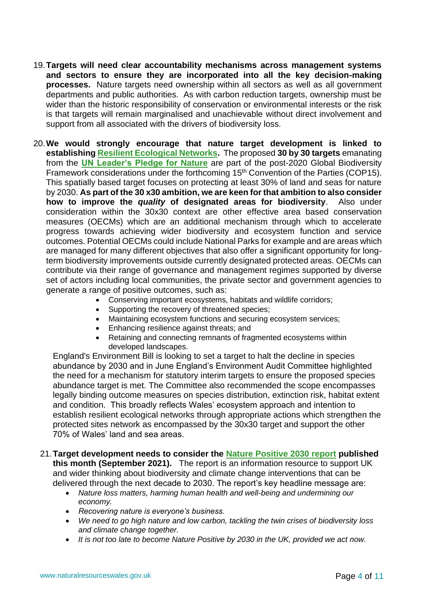- 19.**Targets will need clear accountability mechanisms across management systems and sectors to ensure they are incorporated into all the key decision-making processes.** Nature targets need ownership within all sectors as well as all government departments and public authorities. As with carbon reduction targets, ownership must be wider than the historic responsibility of conservation or environmental interests or the risk is that targets will remain marginalised and unachievable without direct involvement and support from all associated with the drivers of biodiversity loss.
- 20.**We would strongly encourage that nature target development is linked to establishing [Resilient Ecological Networks.](https://naturalresources.wales/guidance-and-advice/environmental-topics/land-management/practitioners-guide-to-resilient-ecological-networks/?lang=en)** The proposed **30 by 30 targets** emanating from the **[UN Leader's Pledge for](https://www.leaderspledgefornature.org/) Nature** are part of the post-2020 Global Biodiversity Framework considerations under the forthcoming 15<sup>th</sup> Convention of the Parties (COP15). This spatially based target focuses on protecting at least 30% of land and seas for nature by 2030. **As part of the 30 x30 ambition, we are keen for that ambition to also consider how to improve the** *quality* **of designated areas for biodiversity**. Also under consideration within the 30x30 context are other effective area based conservation measures (OECMs) which are an additional mechanism through which to accelerate progress towards achieving wider biodiversity and ecosystem function and service outcomes. Potential OECMs could include National Parks for example and are areas which are managed for many different objectives that also offer a significant opportunity for longterm biodiversity improvements outside currently designated protected areas. OECMs can contribute via their range of governance and management regimes supported by diverse set of actors including local communities, the private sector and government agencies to generate a range of positive outcomes, such as:
	- Conserving important ecosystems, habitats and wildlife corridors;
	- Supporting the recovery of threatened species;
	- Maintaining ecosystem functions and securing ecosystem services;
	- Enhancing resilience against threats; and
	- Retaining and connecting remnants of fragmented ecosystems within developed landscapes.

England's Environment Bill is looking to set a target to halt the decline in species abundance by 2030 and in June England's Environment Audit Committee highlighted the need for a mechanism for statutory interim targets to ensure the proposed species abundance target is met. The Committee also recommended the scope encompasses legally binding outcome measures on species distribution, extinction risk, habitat extent and condition. This broadly reflects Wales' ecosystem approach and intention to establish resilient ecological networks through appropriate actions which strengthen the protected sites network as encompassed by the 30x30 target and support the other 70% of Wales' land and sea areas.

### 21.**Target development needs to consider the [Nature Positive 2030 report](https://jncc.gov.uk/our-role/the-uk/nature-positive-2030/) published this month (September 2021).** The report is an information resource to support UK and wider thinking about biodiversity and climate change interventions that can be delivered through the next decade to 2030. The report's key headline message are:

- *Nature loss matters, harming human health and well-being and undermining our economy.*
- *Recovering nature is everyone's business.*
- *We need to go high nature and low carbon, tackling the twin crises of biodiversity loss and climate change together.*
- *It is not too late to become Nature Positive by 2030 in the UK, provided we act now.*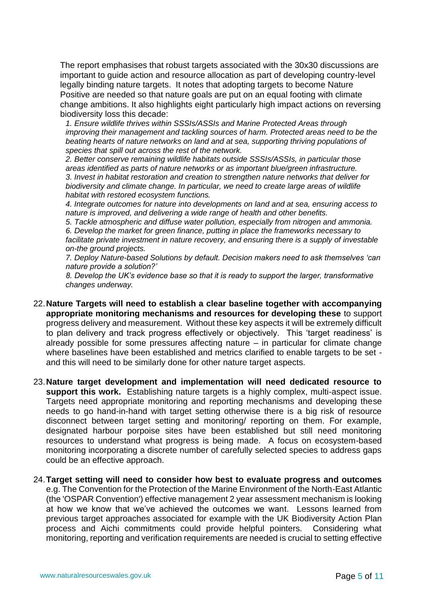The report emphasises that robust targets associated with the 30x30 discussions are important to guide action and resource allocation as part of developing country-level legally binding nature targets. It notes that adopting targets to become Nature Positive are needed so that nature goals are put on an equal footing with climate change ambitions. It also highlights eight particularly high impact actions on reversing biodiversity loss this decade:

*1. Ensure wildlife thrives within SSSIs/ASSIs and Marine Protected Areas through improving their management and tackling sources of harm. Protected areas need to be the beating hearts of nature networks on land and at sea, supporting thriving populations of species that spill out across the rest of the network.* 

*2. Better conserve remaining wildlife habitats outside SSSIs/ASSIs, in particular those areas identified as parts of nature networks or as important blue/green infrastructure. 3. Invest in habitat restoration and creation to strengthen nature networks that deliver for biodiversity and climate change. In particular, we need to create large areas of wildlife habitat with restored ecosystem functions.* 

*4. Integrate outcomes for nature into developments on land and at sea, ensuring access to nature is improved, and delivering a wide range of health and other benefits.* 

*5. Tackle atmospheric and diffuse water pollution, especially from nitrogen and ammonia. 6. Develop the market for green finance, putting in place the frameworks necessary to facilitate private investment in nature recovery, and ensuring there is a supply of investable on-the ground projects.* 

*7. Deploy Nature-based Solutions by default. Decision makers need to ask themselves 'can nature provide a solution?'* 

*8. Develop the UK's evidence base so that it is ready to support the larger, transformative changes underway.*

- 22.**Nature Targets will need to establish a clear baseline together with accompanying appropriate monitoring mechanisms and resources for developing these** to support progress delivery and measurement. Without these key aspects it will be extremely difficult to plan delivery and track progress effectively or objectively. This 'target readiness' is already possible for some pressures affecting nature – in particular for climate change where baselines have been established and metrics clarified to enable targets to be set and this will need to be similarly done for other nature target aspects.
- 23.**Nature target development and implementation will need dedicated resource to support this work.** Establishing nature targets is a highly complex, multi-aspect issue. Targets need appropriate monitoring and reporting mechanisms and developing these needs to go hand-in-hand with target setting otherwise there is a big risk of resource disconnect between target setting and monitoring/ reporting on them. For example, designated harbour porpoise sites have been established but still need monitoring resources to understand what progress is being made. A focus on ecosystem-based monitoring incorporating a discrete number of carefully selected species to address gaps could be an effective approach.

### 24.**Target setting will need to consider how best to evaluate progress and outcomes**

e.g. The Convention for the Protection of the Marine Environment of the North-East Atlantic (the 'OSPAR Convention') effective management 2 year assessment mechanism is looking at how we know that we've achieved the outcomes we want. Lessons learned from previous target approaches associated for example with the UK Biodiversity Action Plan process and Aichi commitments could provide helpful pointers. Considering what monitoring, reporting and verification requirements are needed is crucial to setting effective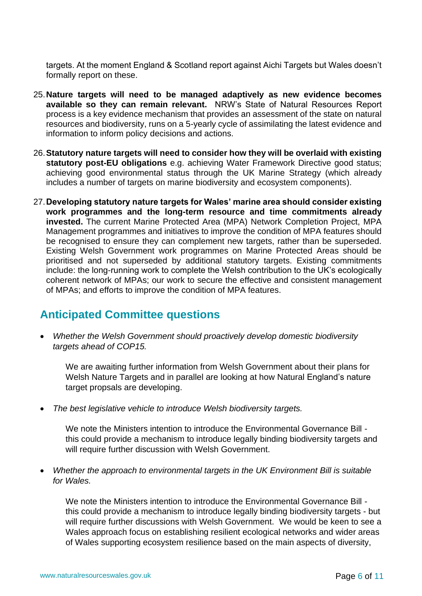targets. At the moment England & Scotland report against Aichi Targets but Wales doesn't formally report on these.

- 25.**Nature targets will need to be managed adaptively as new evidence becomes available so they can remain relevant.** NRW's State of Natural Resources Report process is a key evidence mechanism that provides an assessment of the state on natural resources and biodiversity, runs on a 5-yearly cycle of assimilating the latest evidence and information to inform policy decisions and actions.
- 26.**Statutory nature targets will need to consider how they will be overlaid with existing statutory post-EU obligations** e.g. achieving Water Framework Directive good status; achieving good environmental status through the UK Marine Strategy (which already includes a number of targets on marine biodiversity and ecosystem components).
- 27.**Developing statutory nature targets for Wales' marine area should consider existing work programmes and the long-term resource and time commitments already invested.** The current Marine Protected Area (MPA) Network Completion Project, MPA Management programmes and initiatives to improve the condition of MPA features should be recognised to ensure they can complement new targets, rather than be superseded. Existing Welsh Government work programmes on Marine Protected Areas should be prioritised and not superseded by additional statutory targets. Existing commitments include: the long-running work to complete the Welsh contribution to the UK's ecologically coherent network of MPAs; our work to secure the effective and consistent management of MPAs; and efforts to improve the condition of MPA features.

# **Anticipated Committee questions**

• *Whether the Welsh Government should proactively develop domestic biodiversity targets ahead of COP15.*

We are awaiting further information from Welsh Government about their plans for Welsh Nature Targets and in parallel are looking at how Natural England's nature target propsals are developing.

• *The best legislative vehicle to introduce Welsh biodiversity targets.*

We note the Ministers intention to introduce the Environmental Governance Bill this could provide a mechanism to introduce legally binding biodiversity targets and will require further discussion with Welsh Government.

• *Whether the approach to environmental targets in the UK Environment Bill is suitable for Wales.*

We note the Ministers intention to introduce the Environmental Governance Bill this could provide a mechanism to introduce legally binding biodiversity targets - but will require further discussions with Welsh Government. We would be keen to see a Wales approach focus on establishing resilient ecological networks and wider areas of Wales supporting ecosystem resilience based on the main aspects of diversity,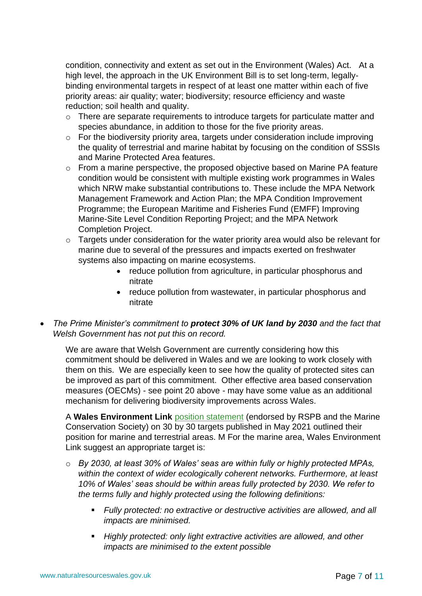condition, connectivity and extent as set out in the Environment (Wales) Act. At a high level, the approach in the UK Environment Bill is to set long-term, legallybinding environmental targets in respect of at least one matter within each of five priority areas: air quality; water; biodiversity; resource efficiency and waste reduction; soil health and quality.

- o There are separate requirements to introduce targets for particulate matter and species abundance, in addition to those for the five priority areas.
- o For the biodiversity priority area, targets under consideration include improving the quality of terrestrial and marine habitat by focusing on the condition of SSSIs and Marine Protected Area features.
- o From a marine perspective, the proposed objective based on Marine PA feature condition would be consistent with multiple existing work programmes in Wales which NRW make substantial contributions to. These include the MPA Network Management Framework and Action Plan; the MPA Condition Improvement Programme; the European Maritime and Fisheries Fund (EMFF) Improving Marine-Site Level Condition Reporting Project; and the MPA Network Completion Project.
- $\circ$  Targets under consideration for the water priority area would also be relevant for marine due to several of the pressures and impacts exerted on freshwater systems also impacting on marine ecosystems.
	- reduce pollution from agriculture, in particular phosphorus and nitrate
	- reduce pollution from wastewater, in particular phosphorus and nitrate
- *The Prime Minister's commitment to protect 30% of UK land by 2030 and the fact that Welsh Government has not put this on record.*

We are aware that Welsh Government are currently considering how this commitment should be delivered in Wales and we are looking to work closely with them on this. We are especially keen to see how the quality of protected sites can be improved as part of this commitment. Other effective area based conservation measures (OECMs) - see point 20 above - may have some value as an additional mechanism for delivering biodiversity improvements across Wales.

A **Wales Environment Link** [position statement](https://waleslink.org/30-by-30-land-and-sea-for-natures-recovery-in-wales/) (endorsed by RSPB and the Marine Conservation Society) on 30 by 30 targets published in May 2021 outlined their position for marine and terrestrial areas. M For the marine area, Wales Environment Link suggest an appropriate target is:

- o *By 2030, at least 30% of Wales' seas are within fully or highly protected MPAs, within the context of wider ecologically coherent networks. Furthermore, at least 10% of Wales' seas should be within areas fully protected by 2030. We refer to the terms fully and highly protected using the following definitions:*
	- *Fully protected: no extractive or destructive activities are allowed, and all impacts are minimised.*
	- *Highly protected: only light extractive activities are allowed, and other impacts are minimised to the extent possible*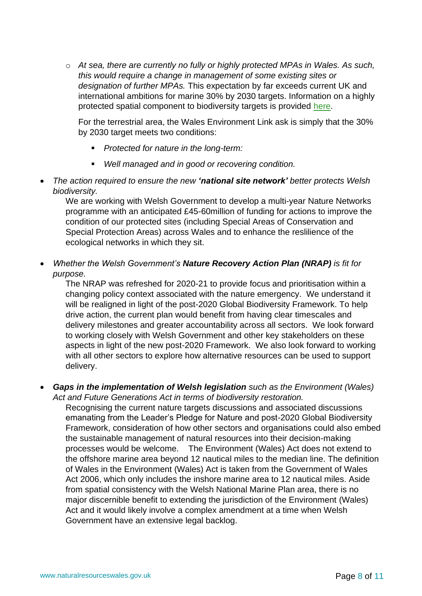o *At sea, there are currently no fully or highly protected MPAs in Wales. As such, this would require a change in management of some existing sites or designation of further MPAs.* This expectation by far exceeds current UK and international ambitions for marine 30% by 2030 targets. Information on a highly protected spatial component to biodiversity targets is provided [here.](https://cyfoethnaturiolcymru.sharepoint.com/:w:/r/teams/advice/biodiversity/wg/Biodiversity%20Inquiries/CCEIC/CCEI%20Committee-30Sept21-Nature%20Targets%20Internal%20Briefing%20for%20Ruth%20Jenkins.docx?d=wd092a5997e2d4faeaa49b38db6303d4c&csf=1&web=1)

For the terrestrial area, the Wales Environment Link ask is simply that the 30% by 2030 target meets two conditions:

- *Protected for nature in the long-term:*
- *Well managed and in good or recovering condition.*
- *The action required to ensure the new 'national site network' better protects Welsh biodiversity.*

We are working with Welsh Government to develop a multi-year Nature Networks programme with an anticipated £45-60million of funding for actions to improve the condition of our protected sites (including Special Areas of Conservation and Special Protection Areas) across Wales and to enhance the reslilience of the ecological networks in which they sit.

• *Whether the Welsh Government's Nature Recovery Action Plan (NRAP) is fit for purpose.*

The NRAP was refreshed for 2020-21 to provide focus and prioritisation within a changing policy context associated with the nature emergency. We understand it will be realigned in light of the post-2020 Global Biodiversity Framework. To help drive action, the current plan would benefit from having clear timescales and delivery milestones and greater accountability across all sectors. We look forward to working closely with Welsh Government and other key stakeholders on these aspects in light of the new post-2020 Framework. We also look forward to working with all other sectors to explore how alternative resources can be used to support delivery.

• *Gaps in the implementation of Welsh legislation such as the Environment (Wales) Act and Future Generations Act in terms of biodiversity restoration.*

Recognising the current nature targets discussions and associated discussions emanating from the Leader's Pledge for Nature and post-2020 Global Biodiversity Framework, consideration of how other sectors and organisations could also embed the sustainable management of natural resources into their decision-making processes would be welcome. The Environment (Wales) Act does not extend to the offshore marine area beyond 12 nautical miles to the median line. The definition of Wales in the Environment (Wales) Act is taken from the Government of Wales Act 2006, which only includes the inshore marine area to 12 nautical miles. Aside from spatial consistency with the Welsh National Marine Plan area, there is no major discernible benefit to extending the jurisdiction of the Environment (Wales) Act and it would likely involve a complex amendment at a time when Welsh Government have an extensive legal backlog.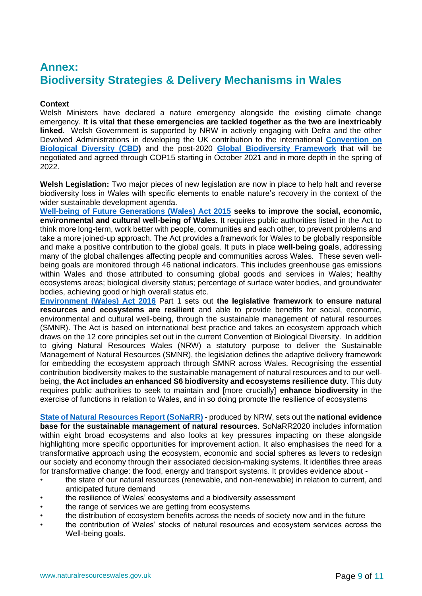## **Annex: Biodiversity Strategies & Delivery Mechanisms in Wales**

#### **Context**

Welsh Ministers have declared a nature emergency alongside the existing climate change emergency. **It is vital that these emergencies are tackled together as the two are inextricably linked**. Welsh Government is supported by NRW in actively engaging with Defra and the other Devolved Administrations in developing the UK contribution to the international **[Convention on](https://www.google.com/url?sa=t&rct=j&q=&esrc=s&source=web&cd=&ved=2ahUKEwiznOba9YXzAhWKN8AKHYc5COsQFnoECAUQAw&url=https%3A%2F%2Fwww.cbd.int%2F&usg=AOvVaw2NUSr-3K6RyGIbpLwQ2SaI)  [Biological Diversity \(CBD\)](https://www.google.com/url?sa=t&rct=j&q=&esrc=s&source=web&cd=&ved=2ahUKEwiznOba9YXzAhWKN8AKHYc5COsQFnoECAUQAw&url=https%3A%2F%2Fwww.cbd.int%2F&usg=AOvVaw2NUSr-3K6RyGIbpLwQ2SaI)** and the post-2020 **[Global Biodiversity Framework](https://www.cbd.int/conferences/post2020)** that will be negotiated and agreed through COP15 starting in October 2021 and in more depth in the spring of 2022.

**Welsh Legislation:** Two major pieces of new legislation are now in place to help halt and reverse biodiversity loss in Wales with specific elements to enable nature's recovery in the context of the wider sustainable development agenda.

**[Well-being of Future Generations \(Wales\) Act 2015](https://gov.wales/well-being-of-future-generations-wales) seeks to improve the social, economic, environmental and cultural well-being of Wales.** It requires public authorities listed in the Act to think more long-term, work better with people, communities and each other, to prevent problems and take a more joined-up approach. The Act provides a framework for Wales to be globally responsible and make a positive contribution to the global goals. It puts in place **well-being goals**, addressing many of the global challenges affecting people and communities across Wales. These seven wellbeing goals are monitored through 46 national indicators. This includes greenhouse gas emissions within Wales and those attributed to consuming global goods and services in Wales; healthy ecosystems areas; biological diversity status; percentage of surface water bodies, and groundwater bodies, achieving good or high overall status etc.

**[Environment \(Wales\) Act 2016](https://gov.wales/environment-wales-act-2016-factsheets)** Part 1 sets out **the legislative framework to ensure natural resources and ecosystems are resilient** and able to provide benefits for social, economic, environmental and cultural well-being, through the sustainable management of natural resources (SMNR). The Act is based on international best practice and takes an ecosystem approach which draws on the 12 core principles set out in the current Convention of Biological Diversity. In addition to giving Natural Resources Wales (NRW) a statutory purpose to deliver the Sustainable Management of Natural Resources (SMNR), the legislation defines the adaptive delivery framework for embedding the ecosystem approach through SMNR across Wales. Recognising the essential contribution biodiversity makes to the sustainable management of natural resources and to our wellbeing, **the Act includes an enhanced S6 biodiversity and ecosystems resilience duty**. This duty requires public authorities to seek to maintain and [more crucially] **enhance biodiversity** in the exercise of functions in relation to Wales, and in so doing promote the resilience of ecosystems

**[State of Natural Resources Report \(SoNaRR\)](https://cdn.cyfoethnaturiol.cymru/media/693209/sonarr2020-executive-summary.pdf)** - produced by NRW, sets out the **national evidence base for the sustainable management of natural resources**. SoNaRR2020 includes information within eight broad ecosystems and also looks at key pressures impacting on these alongside highlighting more specific opportunities for improvement action. It also emphasises the need for a transformative approach using the ecosystem, economic and social spheres as levers to redesign our society and economy through their associated decision-making systems. It identifies three areas for transformative change: the food, energy and transport systems. It provides evidence about -

- the state of our natural resources (renewable, and non-renewable) in relation to current, and anticipated future demand
- the resilience of Wales' ecosystems and a biodiversity assessment
- the range of services we are getting from ecosystems
	- the distribution of ecosystem benefits across the needs of society now and in the future
- the contribution of Wales' stocks of natural resources and ecosystem services across the Well-being goals.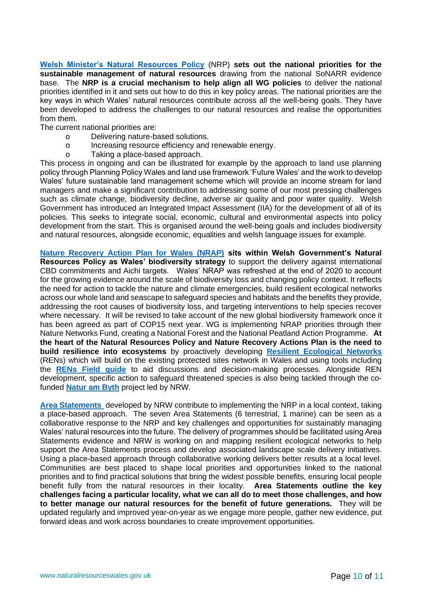**[Welsh Minister's Natural Resources Policy](https://gov.wales/sites/default/files/publications/2019-06/natural-resources-policy.pdf)** (NRP) **sets out the national priorities for the sustainable management of natural resources** drawing from the national SoNARR evidence base. The **NRP is a crucial mechanism to help align all WG policies** to deliver the national priorities identified in it and sets out how to do this in key policy areas. The national priorities are the key ways in which Wales' natural resources contribute across all the well-being goals. They have been developed to address the challenges to our natural resources and realise the opportunities from them.

The current national priorities are:

- o Delivering nature-based solutions.
- o Increasing resource efficiency and renewable energy.
- o Taking a place-based approach.

This process in ongoing and can be illustrated for example by the approach to land use planning policy through Planning Policy Wales and land use framework 'Future Wales' and the work to develop Wales' future sustainable land management scheme which will provide an income stream for land managers and make a significant contribution to addressing some of our most pressing challenges such as climate change, biodiversity decline, adverse air quality and poor water quality. Welsh Government has introduced an Integrated Impact Assessment (IIA) for the development of all of its policies. This seeks to integrate social, economic, cultural and environmental aspects into policy development from the start. This is organised around the well-being goals and includes biodiversity and natural resources, alongside economic, equalities and welsh language issues for example.

**[Nature Recovery Action Plan for Wales \(NRAP\)](https://gov.wales/sites/default/files/publications/2020-10/nature-recovery-action-plan-wales-2020-2021.pdf) sits within Welsh Government's Natural Resources Policy as Wales' biodiversity strategy** to support the delivery against international CBD commitments and Aichi targets. Wales' NRAP was refreshed at the end of 2020 to account for the growing evidence around the scale of biodiversity loss and changing policy context. It reflects the need for action to tackle the nature and climate emergencies, build resilient ecological networks across our whole land and seascape to safeguard species and habitats and the benefits they provide, addressing the root causes of biodiversity loss, and targeting interventions to help species recover where necessary. It will be revised to take account of the new global biodiversity framework once it has been agreed as part of COP15 next year. WG is implementing NRAP priorities through their Nature Networks Fund, creating a National Forest and the National Peatland Action Programme. **At the heart of the Natural Resources Policy and Nature Recovery Actions Plan is the need to build resilience into ecosystems** by proactively developing **[Resilient Ecological Networks](https://naturalresources.wales/guidance-and-advice/environmental-topics/land-management/practitioners-guide-to-resilient-ecological-networks/?lang=en)** (RENs) which will build on the existing protected sites network in Wales and using tools including the **[RENs Field guide](https://naturalresources.wales/guidance-and-advice/environmental-topics/land-management/practitioners-guide-to-resilient-ecological-networks/?lang=en)** to aid discussions and decision-making processes. Alongside REN development, specific action to safeguard threatened species is also being tackled through the cofunded **[Natur am Byth](https://naturalresources.wales/about-us/our-projects/nature-projects/natur-am-byth/?lang=en)** project led by NRW.

**[Area Statements](https://naturalresources.wales/areastatements?lang=en)** developed by NRW contribute to implementing the NRP in a local context, taking a place-based approach. The seven Area Statements (6 terrestrial, 1 marine) can be seen as a collaborative response to the NRP and key challenges and opportunities for sustainably managing Wales' natural resources into the future. The delivery of programmes should be facilitated using Area Statements evidence and NRW is working on and mapping resilient ecological networks to help support the Area Statements process and develop associated landscape scale delivery initiatives. Using a place-based approach through collaborative working delivers better results at a local level. Communities are best placed to shape local priorities and opportunities linked to the national priorities and to find practical solutions that bring the widest possible benefits, ensuring local people benefit fully from the natural resources in their locality. **Area Statements outline the key challenges facing a particular locality, what we can all do to meet those challenges, and how to better manage our natural resources for the benefit of future generations.** They will be updated regularly and improved year-on-year as we engage more people, gather new evidence, put forward ideas and work across boundaries to create improvement opportunities.